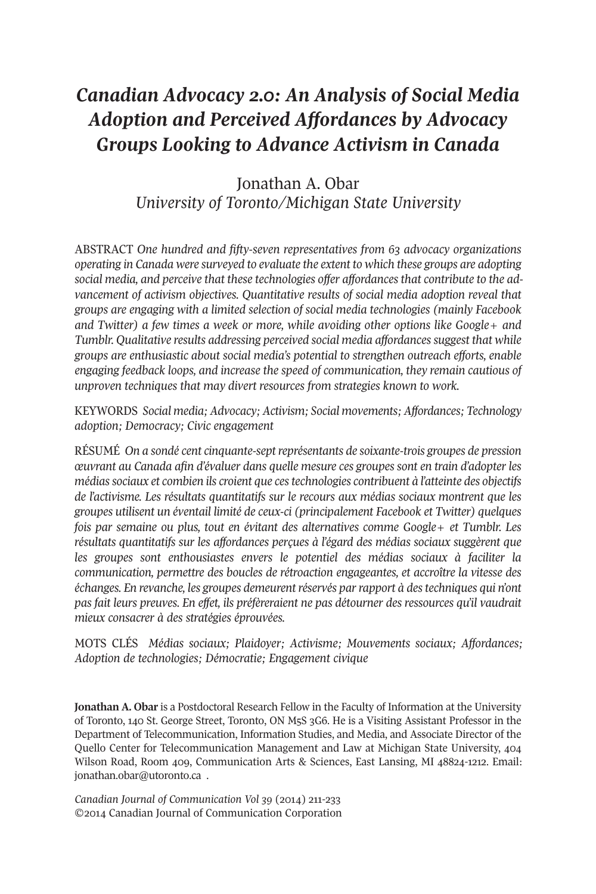# *Canadian Advocacy 2.0: An Analysis of Social Media Adoption and Perceived Affordances by Advocacy Groups Looking to Advance Activism in Canada*

## Jonathan A. Obar *University of Toronto/Michigan State University*

ABSTRACT *One hundred and fifty-seven representatives from 63 advocacy organizations operating in Canada were surveyed to evaluate the extent to which these groups are adopting social media, and perceive that these technologies offer affordances that contribute to the advancement of activism objectives. Quantitative results of social media adoption reveal that groups are engaging with a limited selection of social media technologies (mainly Facebook and Twitter) a few times a week or more, while avoiding other options like Google+ and Tumblr. Qualitative results addressing perceived social media affordancessuggest that while groups are enthusiastic about social media's potential to strengthen outreach efforts, enable engaging feedback loops, and increase the speed of communication, they remain cautious of unproven techniques that may divert resources from strategies known to work.*

KEYWORDS *Social media; Advocacy; Activism; Social movements; Affordances; Technology adoption; Democracy; Civic engagement*

RÉSUMÉ *On a sondé cent cinquante-septreprésentants de soixante-trois groupes de pression œuvrant au Canada afin d'évaluer dans quelle mesure ces groupes sont en train d'adopter les médiassociaux et combien ils croient que cestechnologies contribuent à l'atteinte des objectifs de l'activisme. Les résultats quantitatifs sur le recours aux médias sociaux montrent que les groupes utilisent un éventail limité de ceux-ci (principalement Facebook et Twitter) quelques fois par semaine ou plus, tout en évitant des alternatives comme Google+ et Tumblr. Les résultats quantitatifs sur les affordances perçues à l'égard des médias sociaux suggèrent que les groupes sont enthousiastes envers le potentiel des médias sociaux à faciliter la communication, permettre des boucles de rétroaction engageantes, et accroître la vitesse des échanges. En revanche, les groupes demeurentréservés parrapport à destechniques qui n'ont pas fait leurs preuves. En effet, ils préfèreraient ne pas détourner des ressources qu'il vaudrait mieux consacrer à des stratégies éprouvées.*

MOTS CLÉS *Médias sociaux; Plaidoyer; Activisme; Mouvements sociaux; Affordances; Adoption de technologies; Démocratie; Engagement civique*

**Jonathan A. Obar** is a Postdoctoral Research Fellow in the Faculty of Information at the University of Toronto, 140 St. George Street, Toronto, ON M5S 3G6. He is a Visiting Assistant Professor in the Department of Telecommunication, Information Studies, and Media, and Associate Director of the Quello Center for Telecommunication Management and Law at Michigan State University, 404 Wilson Road, Room 409, Communication Arts & Sciences, East Lansing, MI 48824-1212. Email: [jonathan.obar@utoronto.ca](mailto:jonathan.obar@utoronto.ca) .

*Canadian Journal of Communication Vol 39* (2014) 211-233 ©2014 Canadian Journal of Communication Corporation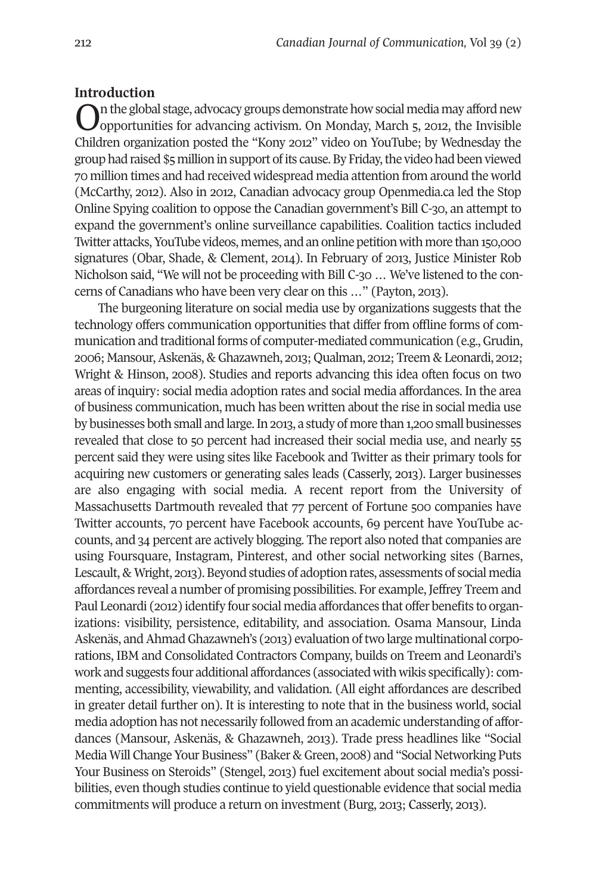#### **Introduction**

On the global stage, advocacy groups demonstrate how social media may afford new opportunities for advancing activism. On Monday, March 5, 2012, the Invisible Children organization posted the "Kony 2012" video on YouTube; by Wednesday the group had raised \$5 million in support ofits cause.By Friday,the video had been viewed 70 million times and had received widespread media attention from around the world (McCarthy, 2012). Also in 2012, Canadian advocacy group Openmedia.ca led the Stop Online Spying coalition to oppose the Canadian government's Bill C-30, an attempt to expand the government's online surveillance capabilities. Coalition tactics included Twitter attacks,YouTube videos, memes, and an online petitionwith more than 150,000 signatures (Obar, Shade, & Clement, 2014). In February of 2013, Justice Minister Rob Nicholson said, "We will not be proceeding with Bill C-30 … We've listened to the concerns of Canadians who have been very clear on this …" (Payton, 2013).

The burgeoning literature on social media use by organizations suggests that the technology offers communication opportunities that differ from offline forms of communication and traditional forms of computer-mediated communication (e.g., Grudin, 2006; Mansour,Askenäs,&Ghazawneh, 2013; Qualman, 2012; Treem &Leonardi, 2012; Wright & Hinson, 2008). Studies and reports advancing this idea often focus on two areas of inquiry: social media adoption rates and social media affordances. In the area of business communication, much has been written about the rise in social media use by businesses both small and large.In 2013, a study of more than 1,200 small businesses revealed that close to 50 percent had increased their social media use, and nearly 55 percent said they were using sites like Facebook and Twitter as their primary tools for acquiring new customers or generating sales leads (Casserly, 2013). Larger businesses are also engaging with social media. A recent report from the University of Massachusetts Dartmouth revealed that 77 percent of Fortune 500 companies have Twitter accounts, 70 percent have Facebook accounts, 69 percent have YouTube accounts, and 34 percent are actively blogging. The report also noted that companies are using Foursquare, Instagram, Pinterest, and other social networking sites (Barnes, Lescault, & Wright, 2013). Beyond studies of adoption rates, assessments of social media affordances reveal a number of promising possibilities. For example, Jeffrey Treem and Paul Leonardi (2012) identify four social media affordances that offer benefits to organizations: visibility, persistence, editability, and association. Osama Mansour, Linda Askenäs, and Ahmad Ghazawneh's (2013) evaluation of two large multinational corporations, IBM and Consolidated Contractors Company, builds on Treem and Leonardi's work and suggests four additional affordances (associated with wikis specifically): commenting, accessibility, viewability, and validation. (All eight affordances are described in greater detail further on). It is interesting to note that in the business world, social media adoption has not necessarily followed from an academic understanding of affordances (Mansour, Askenäs, & Ghazawneh, 2013). Trade press headlines like "Social Media Will Change Your Business" (Baker & Green, 2008) and "Social Networking Puts Your Business on Steroids" (Stengel, 2013) fuel excitement about social media's possibilities, even though studies continue to yield questionable evidence that social media commitments will produce a return on investment (Burg, 2013; Casserly, 2013).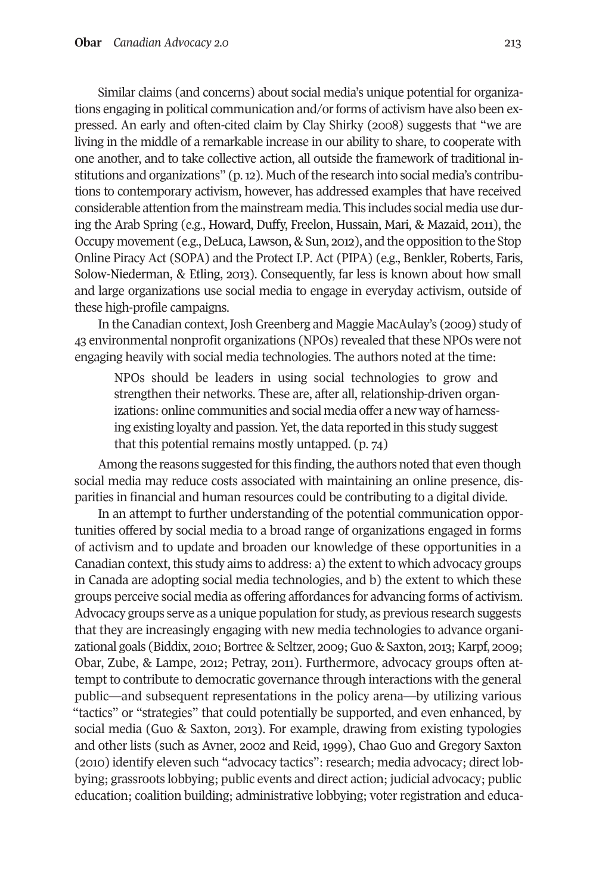Similar claims (and concerns) about social media's unique potential for organizations engaging in political communication and/or forms of activism have also been expressed. An early and often-cited claim by Clay Shirky (2008) suggests that "we are living in the middle of a remarkable increase in our ability to share, to cooperate with one another, and to take collective action, all outside the framework of traditional institutions and organizations" (p. 12). Much of the research into social media's contributions to contemporary activism, however, has addressed examples that have received considerable attention from the mainstream media. This includes social media use during the Arab Spring (e.g., Howard, Duffy, Freelon, Hussain, Mari, & Mazaid, 2011), the Occupy movement (e.g., DeLuca, Lawson, & Sun, 2012), and the opposition to the Stop Online Piracy Act (SOPA) and the Protect I.P. Act (PIPA) (e.g., Benkler, Roberts, Faris, Solow-Niederman, & Etling, 2013). Consequently, far less is known about how small and large organizations use social media to engage in everyday activism, outside of these high-profile campaigns.

In the Canadian context, Josh Greenberg and Maggie MacAulay's (2009) study of 43 environmental nonprofit organizations (NPOs) revealed thatthese NPOs were not engaging heavily with social media technologies. The authors noted at the time:

NPOs should be leaders in using social technologies to grow and strengthen their networks. These are, after all, relationship-driven organizations: online communities and social media offer a new way of harnessing existing loyalty and passion. Yet, the data reported in this study suggest that this potential remains mostly untapped. (p. 74)

Among the reasons suggested for this finding, the authors noted that even though social media may reduce costs associated with maintaining an online presence, disparities in financial and human resources could be contributing to a digital divide.

In an attempt to further understanding of the potential communication opportunities offered by social media to a broad range of organizations engaged in forms of activism and to update and broaden our knowledge of these opportunities in a Canadian context, this study aims to address: a) the extent to which advocacy groups in Canada are adopting social media technologies, and b) the extent to which these groups perceive social media as offering affordances for advancing forms of activism. Advocacy groups serve as a unique population for study, as previous research suggests that they are increasingly engaging with new media technologies to advance organizational goals (Biddix, 2010; Bortree & Seltzer, 2009; Guo & Saxton, 2013; Karpf, 2009; Obar, Zube, & Lampe, 2012; Petray, 2011). Furthermore, advocacy groups often attempt to contribute to democratic governance through interactions with the general public—and subsequent representations in the policy arena—by utilizing various "tactics" or "strategies" that could potentially be supported, and even enhanced, by social media (Guo & Saxton, 2013). For example, drawing from existing typologies and other lists (such as Avner, 2002 and Reid, 1999), Chao Guo and Gregory Saxton (2010) identify eleven such "advocacy tactics": research; media advocacy; direct lobbying; grassroots lobbying; public events and direct action; judicial advocacy; public education; coalition building; administrative lobbying; voter registration and educa-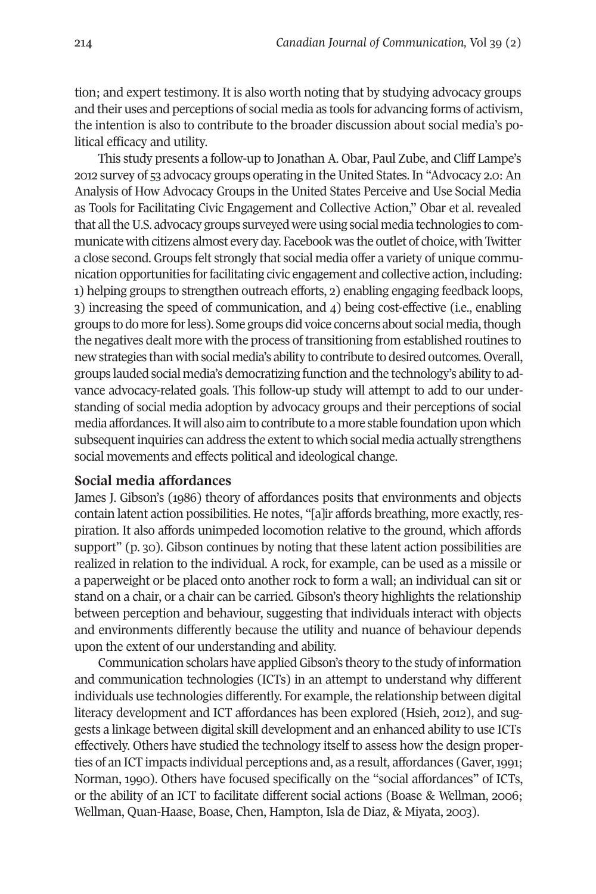tion; and expert testimony. It is also worth noting that by studying advocacy groups and their uses and perceptions of social media as tools for advancing forms of activism, the intention is also to contribute to the broader discussion about social media's political efficacy and utility.

This study presents a follow-up to Jonathan A. Obar, Paul Zube, and Cliff Lampe's 2012 survey of 53 advocacy groups operating in theUnited States.In "Advocacy 2.0:An Analysis of How Advocacy Groups in the United States Perceive and Use Social Media as Tools for Facilitating Civic Engagement and Collective Action," Obar et al. revealed that all the U.S. advocacy groups surveyed were using social media technologies to communicatewith citizens almost every day. Facebookwas the outlet of choice,with Twitter a close second. Groups felt strongly that social media offer a variety of unique communication opportunities forfacilitating civic engagement and collective action, including: 1) helping groups to strengthen outreach efforts, 2) enabling engaging feedback loops, 3) increasing the speed of communication, and 4) being cost-effective (i.e., enabling groups to do more forless). Some groups did voice concerns about social media,though the negatives dealt more with the process oftransitioning from established routines to newstrategies thanwithsocial media's ability to contribute to desired outcomes. Overall, groups lauded social media's democratizing function and the technology's ability to advance advocacy-related goals. This follow-up study will attempt to add to our understanding of social media adoption by advocacy groups and their perceptions of social media affordances.Itwill also aimto contribute to amore stable foundationuponwhich subsequent inquiries can address the extent to which social media actually strengthens social movements and effects political and ideological change.

#### **Social media affordances**

James J. Gibson's (1986) theory of affordances posits that environments and objects contain latent action possibilities. He notes, "[a]ir affords breathing, more exactly, respiration. It also affords unimpeded locomotion relative to the ground, which affords support" (p. 30). Gibson continues by noting that these latent action possibilities are realized in relation to the individual. A rock, for example, can be used as a missile or a paperweight or be placed onto another rock to form a wall; an individual can sit or stand on a chair, or a chair can be carried. Gibson's theory highlights the relationship between perception and behaviour, suggesting that individuals interact with objects and environments differently because the utility and nuance of behaviour depends upon the extent of our understanding and ability.

Communication scholars have appliedGibson's theory to the study of information and communication technologies (ICTs) in an attempt to understand why different individuals use technologies differently. For example, the relationship between digital literacy development and ICT affordances has been explored (Hsieh, 2012), and suggests a linkage between digital skill development and an enhanced ability to use ICTs effectively. Others have studied the technology itself to assess how the design properties of an ICT impacts individual perceptions and, as a result, affordances (Gaver,1991; Norman, 1990). Others have focused specifically on the "social affordances" of ICTs, or the ability of an ICT to facilitate different social actions (Boase & Wellman, 2006; Wellman, Quan-Haase, Boase, Chen, Hampton, Isla de Diaz, & Miyata, 2003).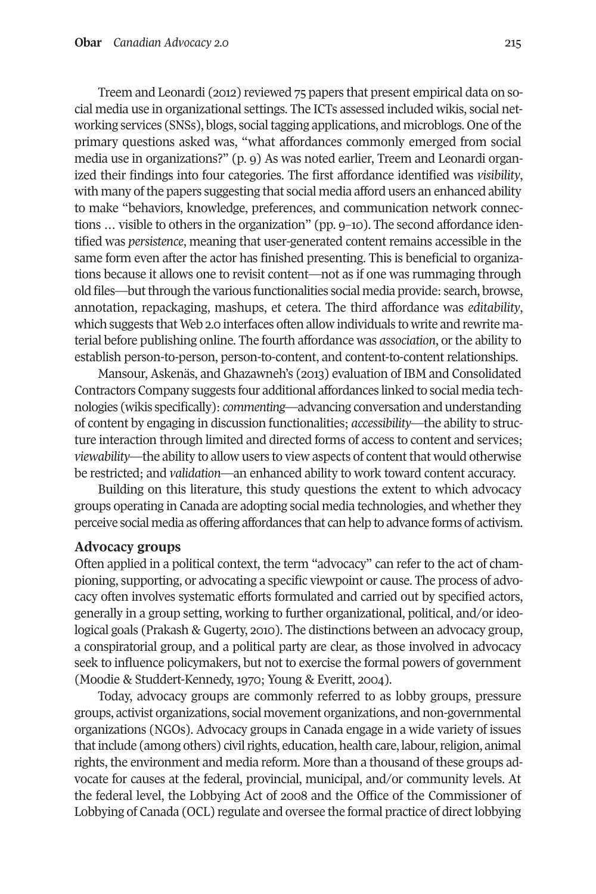Treem and Leonardi (2012) reviewed 75 papers that present empirical data on social media use in organizational settings. The ICTs assessed included wikis, social networking services (SNSs), blogs, social tagging applications, and microblogs. One of the primary questions asked was, "what affordances commonly emerged from social media use in organizations?" (p. 9) As was noted earlier, Treem and Leonardi organized their findings into four categories. The first affordance identified was *visibility*, with many of the papers suggesting that social media afford users an enhanced ability to make "behaviors, knowledge, preferences, and communication network connections … visible to others in the organization" (pp. 9–10). The second affordance identified was *persistence*, meaning that user-generated content remains accessible in the same form even after the actor has finished presenting. This is beneficial to organizations because it allows one to revisit content—not as if one was rummaging through old files—butthrough the various functionalities social media provide: search, browse, annotation, repackaging, mashups, et cetera. The third affordance was *editability*, which suggests that Web 2.0 interfaces often allow individuals to write and rewrite material before publishing online. The fourth affordance was *association*, orthe ability to establish person-to-person, person-to-content, and content-to-content relationships.

Mansour, Askenäs, and Ghazawneh's (2013) evaluation of IBM and Consolidated Contractors Company suggests four additional affordances linked to social media technologies (wikis specifically): *commenting—*advancing conversation and understanding of content by engaging in discussion functionalities; *accessibility*—the ability to structure interaction through limited and directed forms of access to content and services; *viewability*—the ability to allow users to view aspects of content that would otherwise be restricted; and *validation*—an enhanced ability to work toward content accuracy.

Building on this literature, this study questions the extent to which advocacy groups operating in Canada are adopting social media technologies, and whether they perceive social media as offering affordances that can help to advance forms of activism.

#### **Advocacy groups**

Often applied in a political context, the term "advocacy" can refer to the act of championing, supporting, or advocating a specific viewpoint or cause. The process of advocacy often involves systematic efforts formulated and carried out by specified actors, generally in a group setting, working to further organizational, political, and/or ideological goals (Prakash & Gugerty, 2010). The distinctions between an advocacy group, a conspiratorial group, and a political party are clear, as those involved in advocacy seek to influence policymakers, but not to exercise the formal powers of government (Moodie & Studdert-Kennedy, 1970; Young & Everitt, 2004).

Today, advocacy groups are commonly referred to as lobby groups, pressure groups, activist organizations, social movement organizations, and non-governmental organizations (NGOs). Advocacy groups in Canada engage in a wide variety of issues that include (among others) civil rights, education, health care, labour, religion, animal rights, the environment and media reform. More than a thousand of these groups advocate for causes at the federal, provincial, municipal, and/or community levels. At the federal level, the Lobbying Act of 2008 and the Office of the Commissioner of Lobbying of Canada (OCL) regulate and oversee the formal practice of directlobbying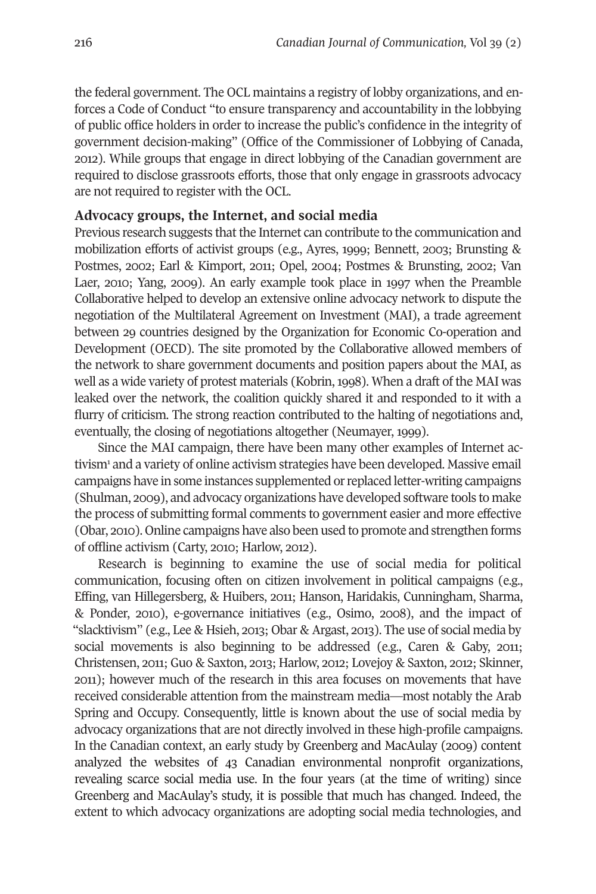the federal government. The OCL maintains a registry of lobby organizations, and enforces a Code of Conduct "to ensure transparency and accountability in the lobbying of public office holders in order to increase the public's confidence in the integrity of government decision-making" (Office of the Commissioner of Lobbying of Canada, 2012). While groups that engage in direct lobbying of the Canadian government are required to disclose grassroots efforts, those that only engage in grassroots advocacy are not required to register with the OCL.

## **Advocacy groups, the Internet, and social media**

Previous research suggests that the Internet can contribute to the communication and mobilization efforts of activist groups (e.g., Ayres, 1999; Bennett, 2003; Brunsting & Postmes, 2002; Earl & Kimport, 2011; Opel, 2004; Postmes & Brunsting, 2002; Van Laer, 2010; Yang, 2009). An early example took place in 1997 when the Preamble Collaborative helped to develop an extensive online advocacy network to dispute the negotiation of the Multilateral Agreement on Investment (MAI), a trade agreement between 29 countries designed by the Organization for Economic Co-operation and Development (OECD). The site promoted by the Collaborative allowed members of the network to share government documents and position papers about the MAI, as well as a wide variety of protest materials (Kobrin,1998). When a draft of the MAI was leaked over the network, the coalition quickly shared it and responded to it with a flurry of criticism. The strong reaction contributed to the halting of negotiations and, eventually, the closing of negotiations altogether (Neumayer, 1999).

S[in](#page-18-0)ce the MAI campaign, there have been many other examples of Internet activism<sup>1</sup> and a variety of online activism strategies have been developed. Massive email campaigns have in some instances supplemented orreplaced letter-writing campaigns (Shulman, 2009), and advocacy organizations have developed software tools to make the process of submitting formal comments to government easier and more effective (Obar, 2010). Online campaigns have also been used to promote and strengthen forms of offline activism (Carty, 2010; Harlow, 2012).

Research is beginning to examine the use of social media for political communication, focusing often on citizen involvement in political campaigns (e.g., Effing, van Hillegersberg, & Huibers, 2011; Hanson, Haridakis, Cunningham, Sharma, & Ponder, 2010), e-governance initiatives (e.g., Osimo, 2008), and the impact of "slacktivism" (e.g., Lee & Hsieh, 2013; Obar & Argast, 2013). The use of social media by social movements is also beginning to be addressed (e.g., Caren & Gaby, 2011; Christensen, 2011; Guo & Saxton, 2013; Harlow, 2012; Lovejoy & Saxton, 2012; Skinner, 2011); however much of the research in this area focuses on movements that have received considerable attention from the mainstream media—most notably the Arab Spring and Occupy. Consequently, little is known about the use of social media by advocacy organizations that are not directly involved in these high-profile campaigns. In the Canadian context, an early study by Greenberg and MacAulay (2009) content analyzed the websites of 43 Canadian environmental nonprofit organizations, revealing scarce social media use. In the four years (at the time of writing) since Greenberg and MacAulay's study, it is possible that much has changed. Indeed, the extent to which advocacy organizations are adopting social media technologies, and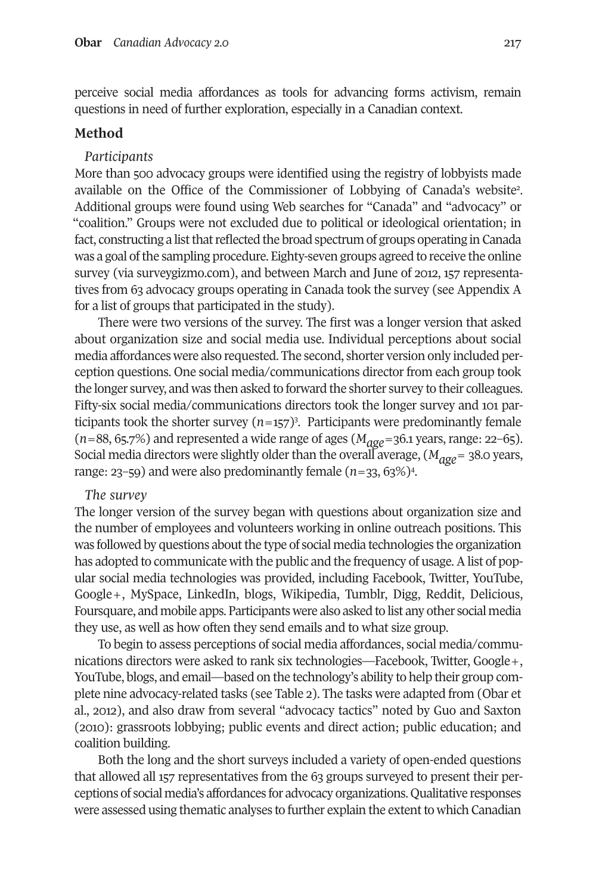perceive social media affordances as tools for advancing forms activism, remain questions in need of further exploration, especially in a Canadian context.

#### **Method**

#### *Participants*

More than 500 advocacy groups were identified using the registry of lobbyists ma[de](#page-18-3) available on the Office of the Commissioner of Lobbying of Canada's website2 . Additional groups were found using Web searches for "Canada" and "advocacy" or "coalition." Groups were not excluded due to political or ideological orientation; in fact, constructing a list that reflected the broad spectrum of groups operating in Canada was a goal of the sampling procedure. Eighty-seven groups agreed to receive the online survey (via surveygizmo.com), and between March and June of 2012, 157 representatives from 63 advocacy groups operating in Canada took the survey (see Appendix A for a list of groups that participated in the study).

There were two versions of the survey. The first was a longer version that asked about organization size and social media use. Individual perceptions about social media affordances were also requested. The second, shorter version only included perception questions. One social media/communications director from each group took the longer survey, and was then asked to forward the shorter survey to their colleagues. Fifty-six social media/communications d[ir](#page-18-2)ectors took the longer survey and 101 participants took the shorter survey  $(n=157)^3$ . Participants were predominantly female  $(n=88, 65.7%)$  and represented a wide range of ages  $(M<sub>qge</sub>=36.1$  years, range: 22–65). Social media directors were slightly older than the overall avera[ge](#page-18-1),  $(M_{qge} = 38.0 \text{ years},$ range: 23–59) and were also predominantly female (*n*=33, 63%)4 .

#### *The survey*

The longer version of the survey began with questions about organization size and the number of employees and volunteers working in online outreach positions. This was followed by questions about the type of social media technologies the organization has adopted to communicate with the public and the frequency of usage. A list of popular social media technologies was provided, including Facebook, Twitter, YouTube, Google+, MySpace, LinkedIn, blogs, Wikipedia, Tumblr, Digg, Reddit, Delicious, Foursquare, and mobile apps. Participants were also asked to list any other social media they use, as well as how often they send emails and to what size group.

To begin to assess perceptions of social media affordances, social media/communications directors were asked to rank six technologies—Facebook, Twitter, Google+, YouTube, blogs, and email—based on the technology's ability to help their group complete nine advocacy-related tasks (see Table 2). The tasks were adapted from (Obar et al., 2012), and also draw from several "advocacy tactics" noted by Guo and Saxton (2010): grassroots lobbying; public events and direct action; public education; and coalition building.

Both the long and the short surveys included a variety of open-ended questions that allowed all 157 representatives from the 63 groups surveyed to present their perceptions of social media's affordances for advocacy organizations. Qualitative responses were assessed using thematic analyses to further explain the extent to which Canadian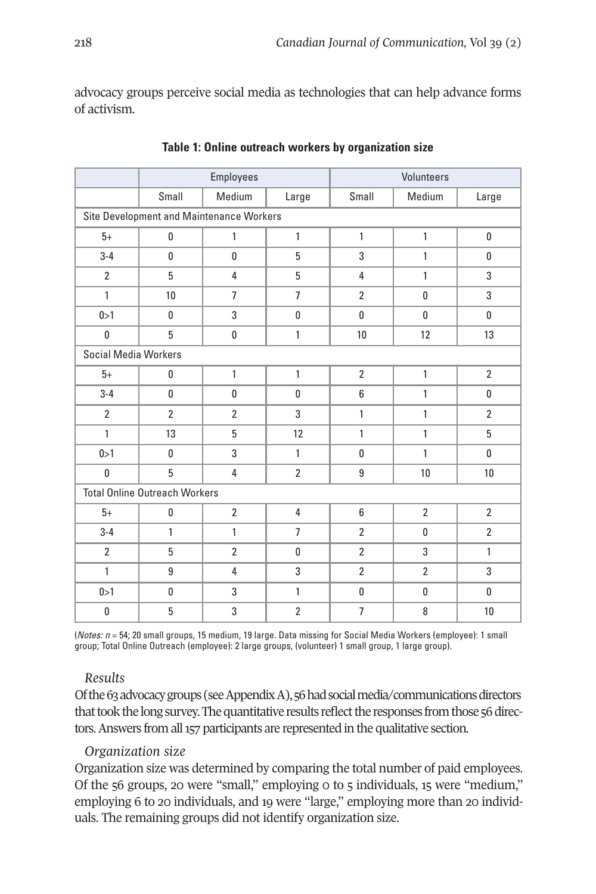advocacy groups perceive social media as technologies that can help advance forms of activism.

|                                          | Employees      |                |                | Volunteers     |                |                |  |  |  |
|------------------------------------------|----------------|----------------|----------------|----------------|----------------|----------------|--|--|--|
|                                          | Small          | Medium         | Large          | Small          | Medium         | Large          |  |  |  |
| Site Development and Maintenance Workers |                |                |                |                |                |                |  |  |  |
| $5+$                                     | 0              | 1              | $\mathbf{1}$   | $\mathbf{1}$   | $\mathbf{1}$   | 0              |  |  |  |
| $3 - 4$                                  | 0              | 0              | 5              | 3              | 1              | 0              |  |  |  |
| $\overline{2}$                           | 5              | $\overline{4}$ | 5              | $\overline{4}$ | $\mathbf{1}$   | 3              |  |  |  |
| $\mathbf{1}$                             | 10             | $\overline{7}$ | $\overline{7}$ | $\overline{2}$ | $\mathbf{0}$   | 3              |  |  |  |
| 0 > 1                                    | 0              | 3              | 0              | 0              | 0              | 0              |  |  |  |
| 0                                        | 5              | 0              | $\mathbf{1}$   | 10             | 12             | 13             |  |  |  |
| <b>Social Media Workers</b>              |                |                |                |                |                |                |  |  |  |
| $5+$                                     | 0              | $\mathbf{1}$   | $\mathbf{1}$   | $\overline{2}$ | $\mathbf{1}$   | $\overline{2}$ |  |  |  |
| $3 - 4$                                  | 0              | 0              | 0              | 6              | $\mathbf{1}$   | 0              |  |  |  |
| $\overline{2}$                           | $\overline{2}$ | $\overline{2}$ | 3              | $\mathbf{1}$   | $\mathbf{1}$   | $\overline{2}$ |  |  |  |
| $\mathbf{1}$                             | 13             | 5              | 12             | $\mathbf{1}$   | $\mathbf{1}$   | 5              |  |  |  |
| 0 > 1                                    | 0              | 3              | $\mathbf{1}$   | 0              | $\mathbf{1}$   | 0              |  |  |  |
| 0                                        | 5              | $\overline{4}$ | $\overline{2}$ | 9              | 10             | 10             |  |  |  |
| <b>Total Online Outreach Workers</b>     |                |                |                |                |                |                |  |  |  |
| $5+$                                     | 0              | $\overline{2}$ | $\overline{4}$ | 6              | $\overline{2}$ | $\overline{2}$ |  |  |  |
| $3 - 4$                                  | 1              | $\mathbf{1}$   | $\overline{7}$ | $\overline{2}$ | 0              | $\overline{2}$ |  |  |  |
| $\overline{2}$                           | 5              | $\overline{2}$ | $\mathbf{0}$   | $\overline{2}$ | 3              | $\mathbf{1}$   |  |  |  |
| 1                                        | 9              | $\overline{4}$ | 3              | $\overline{2}$ | $\overline{2}$ | 3              |  |  |  |
| 0>1                                      | 0              | 3              | $\mathbf{1}$   | 0              | 0              | 0              |  |  |  |
| $\bf{0}$                                 | 5              | 3              | $\overline{2}$ | $\overline{7}$ | 8              | 10             |  |  |  |

**Table 1: Online outreach workers by organization size**

(*Notes: n* = 54; 20 small groups, 15 medium, 19 large. Data missing for Social Media Workers (employee): 1 small group; Total Online Outreach (employee): 2 large groups, (volunteer) 1 small group, 1 large group).

## *Results*

Of the 63 advocacy groups (see Appendix A), 56 had social media/communications directors that took the long survey. The quantitative results reflect the responses from those 56 directors. Answers from all 157 participants are represented in the qualitative section.

## *Organization size*

Organization size was determined by comparing the total number of paid employees. Of the 56 groups, 20 were "small," employing 0 to 5 individuals, 15 were "medium," employing 6 to 20 individuals, and 19 were "large," employing more than 20 individuals. The remaining groups did not identify organization size.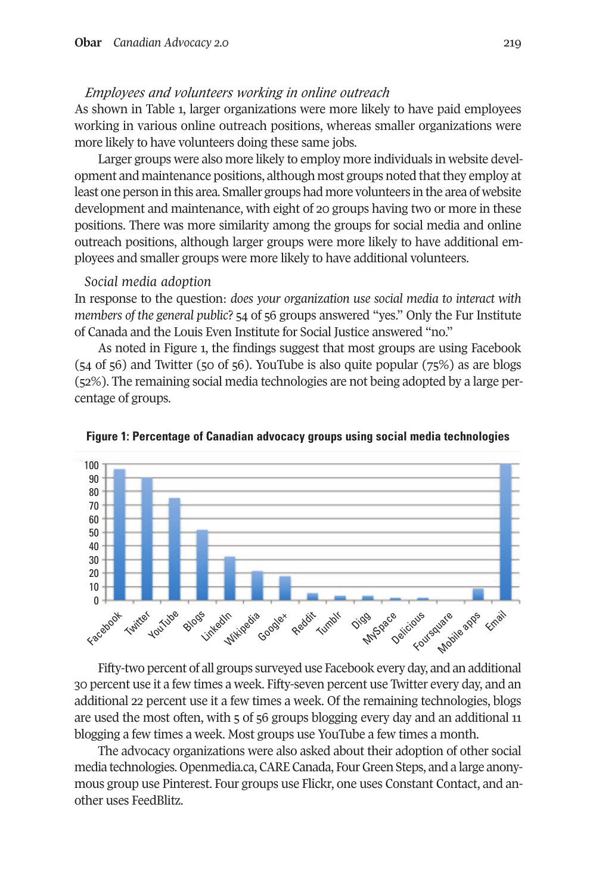## *Employees and volunteers working in online outreach*

As shown in Table 1, larger organizations were more likely to have paid employees working in various online outreach positions, whereas smaller organizations were more likely to have volunteers doing these same jobs.

Larger groups were also more likely to employ more individuals in website development and maintenance positions, although most groups noted that they employ at least one person in this area. Smaller groups had more volunteers in the area of website development and maintenance, with eight of 20 groups having two or more in these positions. There was more similarity among the groups for social media and online outreach positions, although larger groups were more likely to have additional employees and smaller groups were more likely to have additional volunteers.

#### *Social media adoption*

In response to the question: *does your organization use social media to interact with members of the general public*? 54 of 56 groups answered "yes." Only the Fur Institute of Canada and the Louis Even Institute for Social Justice answered "no."

As noted in Figure 1, the findings suggest that most groups are using Facebook (54 of 56) and Twitter (50 of 56). YouTube is also quite popular (75%) as are blogs (52%). The remaining social media technologies are not being adopted by a large percentage of groups.





Fifty-two percent of all groups surveyed use Facebook every day, and an additional 30 percent use it a few times a week. Fifty-seven percent use Twitter every day, and an additional 22 percent use it a few times a week. Of the remaining technologies, blogs are used the most often, with 5 of 56 groups blogging every day and an additional 11 blogging a few times a week. Most groups use YouTube a few times a month.

The advocacy organizations were also asked about their adoption of other social media technologies. Openmedia.ca, CARE Canada, Four Green Steps, and a large anonymous group use Pinterest. Four groups use Flickr, one uses Constant Contact, and another uses FeedBlitz.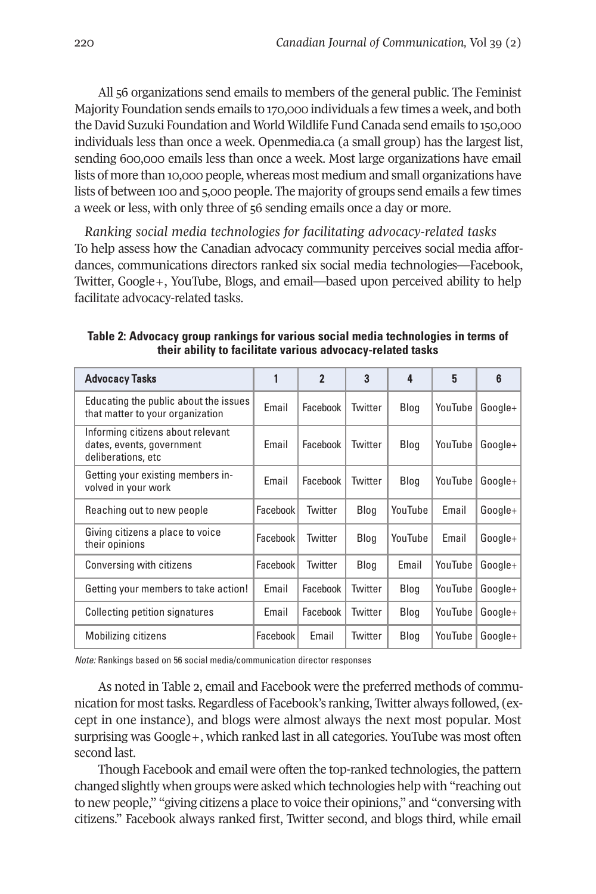All 56 organizations send emails to members of the general public. The Feminist Majority Foundation sends emails to 170,000 individuals a few times a week, and both the David Suzuki Foundation and World Wildlife Fund Canada send emails to 150,000 individuals less than once a week. Openmedia.ca (a small group) has the largest list, sending 600,000 emails less than once a week. Most large organizations have email lists of more than 10,000 people, whereas most medium and small organizations have lists of between 100 and 5,000 people. The majority of groups send emails a few times a week or less, with only three of 56 sending emails once a day or more.

*Ranking social media technologies for facilitating advocacy-related tasks* To help assess how the Canadian advocacy community perceives social media affordances, communications directors ranked six social media technologies—Facebook, Twitter, Google+, YouTube, Blogs, and email—based upon perceived ability to help facilitate advocacy-related tasks.

**Table 2: Advocacy group rankings for various social media technologies in terms of their ability to facilitate various advocacy-related tasks**

| <b>Advocacy Tasks</b>                                                                |          | $\overline{2}$ | 3       | 4       | 5       | 6       |  |
|--------------------------------------------------------------------------------------|----------|----------------|---------|---------|---------|---------|--|
| Educating the public about the issues<br>that matter to your organization            | Email    | Facebook       | Twitter | Blog    | YouTube | Google+ |  |
| Informing citizens about relevant<br>dates, events, government<br>deliberations, etc | Email    | Facebook       | Twitter | Blog    | YouTube | Google+ |  |
| Getting your existing members in-<br>volved in your work                             | Email    | Facebook       | Twitter | Blog    | YouTube | Google+ |  |
| Reaching out to new people                                                           | Facebook | Twitter        | Blog    | YouTube | Email   | Google+ |  |
| Giving citizens a place to voice<br>their opinions                                   | Facebook | Twitter        | Blog    | YouTube | Email   | Google+ |  |
| Conversing with citizens                                                             | Facebook | Twitter        | Blog    | Email   | YouTube | Google+ |  |
| Getting your members to take action!                                                 | Email    | Facebook       | Twitter | Blog    | YouTube | Google+ |  |
| Collecting petition signatures                                                       | Email    | Facebook       | Twitter | Blog    | YouTube | Google+ |  |
| Mobilizing citizens                                                                  | Facebook | Email          | Twitter | Blog    | YouTube | Google+ |  |

*Note:* Rankings based on 56 social media/communication director responses

As noted in Table 2, email and Facebook were the preferred methods of communication for mosttasks. Regardless of Facebook's ranking, Twitter always followed, (except in one instance), and blogs were almost always the next most popular. Most surprising was Google+, which ranked last in all categories. YouTube was most often second last.

Though Facebook and email were often the top-ranked technologies, the pattern changed slightly when groups were asked which technologies help with "reaching out to new people," "giving citizens a place to voice their opinions," and "conversing with citizens." Facebook always ranked first, Twitter second, and blogs third, while email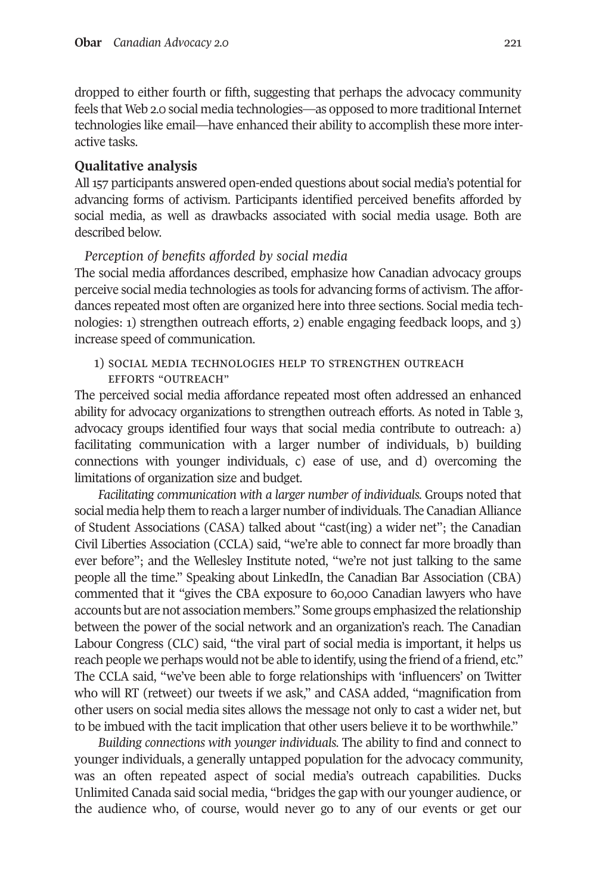dropped to either fourth or fifth, suggesting that perhaps the advocacy community feels that Web 2.0 social media technologies—as opposed to more traditional Internet technologies like email—have enhanced their ability to accomplish these more interactive tasks.

## **Qualitative analysis**

All 157 participants answered open-ended questions about social media's potential for advancing forms of activism. Participants identified perceived benefits afforded by social media, as well as drawbacks associated with social media usage. Both are described below.

## *Perception of benefits afforded by social media*

The social media affordances described, emphasize how Canadian advocacy groups perceive social media technologies as tools for advancing forms of activism. The affordances repeated most often are organized here into three sections. Social media technologies: 1) strengthen outreach efforts, 2) enable engaging feedback loops, and 3) increase speed of communication.

1) social media technologies help to strengthen outreach efforts "outreach"

The perceived social media affordance repeated most often addressed an enhanced ability for advocacy organizations to strengthen outreach efforts. As noted in Table 3, advocacy groups identified four ways that social media contribute to outreach: a) facilitating communication with a larger number of individuals, b) building connections with younger individuals, c) ease of use, and d) overcoming the limitations of organization size and budget.

*Facilitating communication with a larger number of individuals.* Groups noted that social media help them to reach a larger number of individuals. The Canadian Alliance of Student Associations (CASA) talked about "cast(ing) a wider net"; the Canadian Civil Liberties Association (CCLA) said, "we're able to connect far more broadly than ever before"; and the Wellesley Institute noted, "we're not just talking to the same people all the time." Speaking about LinkedIn, the Canadian Bar Association (CBA) commented that it "gives the CBA exposure to 60,000 Canadian lawyers who have accounts but are not association members." Some groups emphasized the relationship between the power of the social network and an organization's reach. The Canadian Labour Congress (CLC) said, "the viral part of social media is important, it helps us reach people we perhaps would not be able to identify, using the friend of a friend, etc." The CCLA said, "we've been able to forge relationships with 'influencers' on Twitter who will RT (retweet) our tweets if we ask," and CASA added, "magnification from other users on social media sites allows the message not only to cast a wider net, but to be imbued with the tacit implication that other users believe it to be worthwhile."

*Building connections with younger individuals.* The ability to find and connect to younger individuals, a generally untapped population for the advocacy community, was an often repeated aspect of social media's outreach capabilities. Ducks Unlimited Canada said social media, "bridges the gap with our younger audience, or the audience who, of course, would never go to any of our events or get our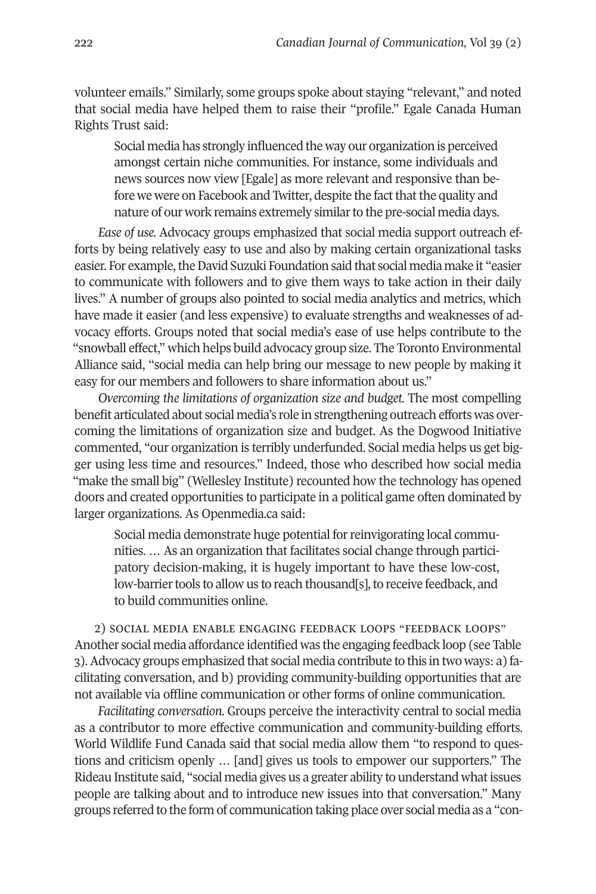volunteer emails." Similarly, some groups spoke about staying "relevant," and noted that social media have helped them to raise their "profile." Egale Canada Human Rights Trust said:

Social media has strongly influenced the way our organization is perceived amongst certain niche communities. For instance, some individuals and news sources now view [Egale] as more relevant and responsive than before we were on Facebook and Twitter, despite the fact that the quality and nature of our work remains extremely similar to the pre-social media days.

*Ease of use.* Advocacy groups emphasized that social media support outreach efforts by being relatively easy to use and also by making certain organizational tasks easier. For example, the David Suzuki Foundation said that social media make it "easier to communicate with followers and to give them ways to take action in their daily lives." A number of groups also pointed to social media analytics and metrics, which have made it easier (and less expensive) to evaluate strengths and weaknesses of advocacy efforts. Groups noted that social media's ease of use helps contribute to the "snowball effect," which helps build advocacy group size. The Toronto Environmental Alliance said, "social media can help bring our message to new people by making it easy for our members and followers to share information about us."

*Overcoming the limitations of organization size and budget.* The most compelling benefit articulated about social media's role in strengthening outreach efforts was overcoming the limitations of organization size and budget. As the Dogwood Initiative commented, "our organization is terribly underfunded. Social media helps us get bigger using less time and resources." Indeed, those who described how social media "make the small big" (Wellesley Institute) recounted how the technology has opened doors and created opportunities to participate in a political game often dominated by larger organizations. As Openmedia.ca said:

Social media demonstrate huge potential for reinvigorating local communities. … As an organization that facilitates social change through participatory decision-making, it is hugely important to have these low-cost, low-barrier tools to allow us to reach thousand[s], to receive feedback, and to build communities online.

2) social media enable engaging feedback loops "feedback loops" Another social media affordance identified was the engaging feedback loop (see Table 3).Advocacy groups emphasized that social media contribute to this in two ways: a) facilitating conversation, and b) providing community-building opportunities that are not available via offline communication or other forms of online communication.

*Facilitating conversation.* Groups perceive the interactivity central to social media as a contributor to more effective communication and community-building efforts. World Wildlife Fund Canada said that social media allow them "to respond to questions and criticism openly … [and] gives us tools to empower our supporters." The Rideau Institute said, "social media gives us a greater ability to understand what issues people are talking about and to introduce new issues into that conversation." Many groups referred to the form of communication taking place over social media as a "con-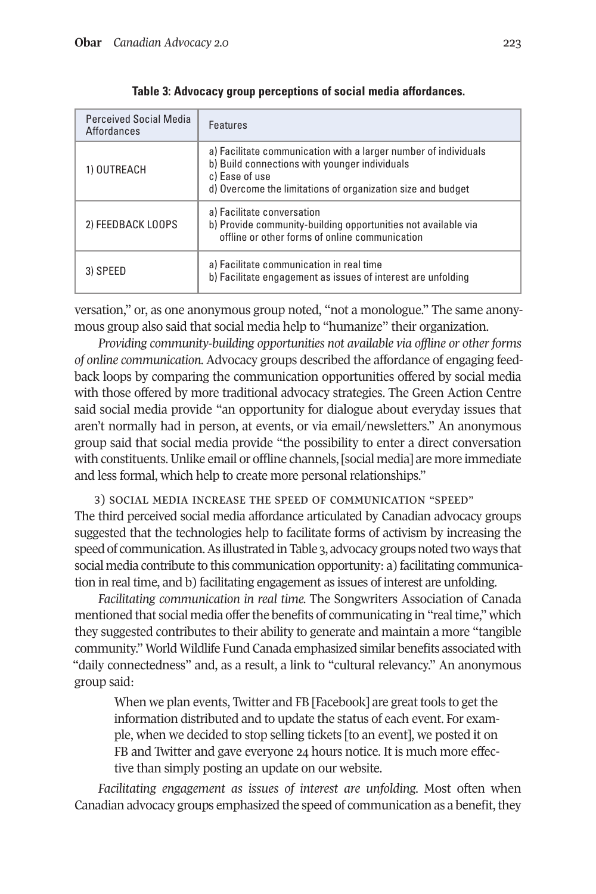| <b>Perceived Social Media</b><br>Affordances | Features                                                                                                                                                                                          |  |  |  |  |
|----------------------------------------------|---------------------------------------------------------------------------------------------------------------------------------------------------------------------------------------------------|--|--|--|--|
| 1) OUTREACH                                  | a) Facilitate communication with a larger number of individuals<br>b) Build connections with younger individuals<br>c) Ease of use<br>d) Overcome the limitations of organization size and budget |  |  |  |  |
| 2) FEEDBACK LOOPS                            | a) Facilitate conversation<br>b) Provide community-building opportunities not available via<br>offline or other forms of online communication                                                     |  |  |  |  |
| 3) SPEED                                     | a) Facilitate communication in real time<br>b) Facilitate engagement as issues of interest are unfolding                                                                                          |  |  |  |  |

**Table 3: Advocacy group perceptions of social media affordances.**

versation," or, as one anonymous group noted, "not a monologue." The same anonymous group also said that social media help to "humanize" their organization.

*Providing community-building opportunities not available via offline or other forms of online communication.* Advocacy groups described the affordance of engaging feedback loops by comparing the communication opportunities offered by social media with those offered by more traditional advocacy strategies. The Green Action Centre said social media provide "an opportunity for dialogue about everyday issues that aren't normally had in person, at events, or via email/newsletters." An anonymous group said that social media provide "the possibility to enter a direct conversation with constituents. Unlike email or offline channels, [social media] are more immediate and less formal, which help to create more personal relationships."

3) social media increase the speed of communication "speed" The third perceived social media affordance articulated by Canadian advocacy groups suggested that the technologies help to facilitate forms of activism by increasing the speed of communication. As illustrated in Table 3, advocacy groups noted two ways that social media contribute to this communication opportunity: a) facilitating communication in real time, and b) facilitating engagement as issues of interest are unfolding.

*Facilitating communication in real time.* The Songwriters Association of Canada mentioned that social media offer the benefits of communicating in "real time," which they suggested contributes to their ability to generate and maintain a more "tangible community." World Wildlife Fund Canada emphasized similar benefits associated with "daily connectedness" and, as a result, a link to "cultural relevancy." An anonymous group said:

When we plan events, Twitter and FB [Facebook] are great tools to get the information distributed and to update the status of each event. For example, when we decided to stop selling tickets [to an event], we posted it on FB and Twitter and gave everyone 24 hours notice. It is much more effective than simply posting an update on our website.

*Facilitating engagement as issues of interest are unfolding.* Most often when Canadian advocacy groups emphasized the speed of communication as a benefit, they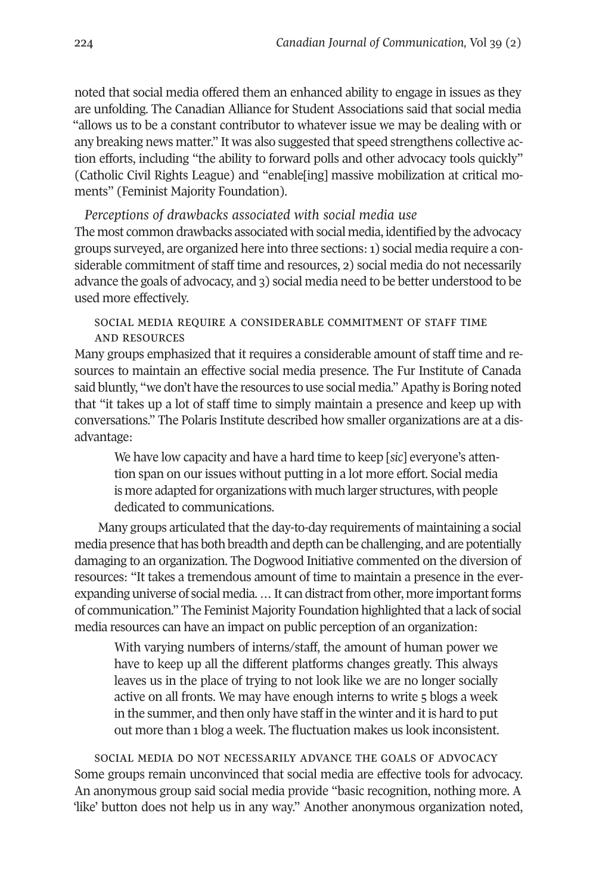noted that social media offered them an enhanced ability to engage in issues as they are unfolding. The Canadian Alliance for Student Associations said that social media "allows us to be a constant contributor to whatever issue we may be dealing with or any breaking news matter." It was also suggested that speed strengthens collective action efforts, including "the ability to forward polls and other advocacy tools quickly" (Catholic Civil Rights League) and "enable[ing] massive mobilization at critical moments" (Feminist Majority Foundation).

*Perceptions of drawbacks associated with social media use* The most common drawbacks associated with social media, identified by the advocacy groups surveyed, are organized here into three sections:1) social media require a considerable commitment of staff time and resources, 2) social media do not necessarily advance the goals of advocacy, and 3) social media need to be better understood to be used more effectively.

## social media require a considerable commitment of staff time and resources

Many groups emphasized that it requires a considerable amount of staff time and resources to maintain an effective social media presence. The Fur Institute of Canada said bluntly, "we don't have the resources to use social media."Apathy is Boring noted that "it takes up a lot of staff time to simply maintain a presence and keep up with conversations." The Polaris Institute described how smaller organizations are at a disadvantage:

We have low capacity and have a hard time to keep [*sic*] everyone's attention span on our issues without putting in a lot more effort. Social media is more adapted for organizations with much larger structures, with people dedicated to communications.

Many groups articulated that the day-to-day requirements of maintaining a social media presence that has both breadth and depth can be challenging, and are potentially damaging to an organization. The Dogwood Initiative commented on the diversion of resources: "It takes a tremendous amount of time to maintain a presence in the everexpanding universe of social media. ... It can distract from other, more important forms of communication." The Feminist Majority Foundation highlighted that a lack of social media resources can have an impact on public perception of an organization:

With varying numbers of interns/staff, the amount of human power we have to keep up all the different platforms changes greatly. This always leaves us in the place of trying to not look like we are no longer socially active on all fronts. We may have enough interns to write 5 blogs a week in the summer, and then only have staff in the winter and it is hard to put out more than 1 blog a week. The fluctuation makes us look inconsistent.

social media do not necessarily advance the goals of advocacy Some groups remain unconvinced that social media are effective tools for advocacy. An anonymous group said social media provide "basic recognition, nothing more. A 'like' button does not help us in any way." Another anonymous organization noted,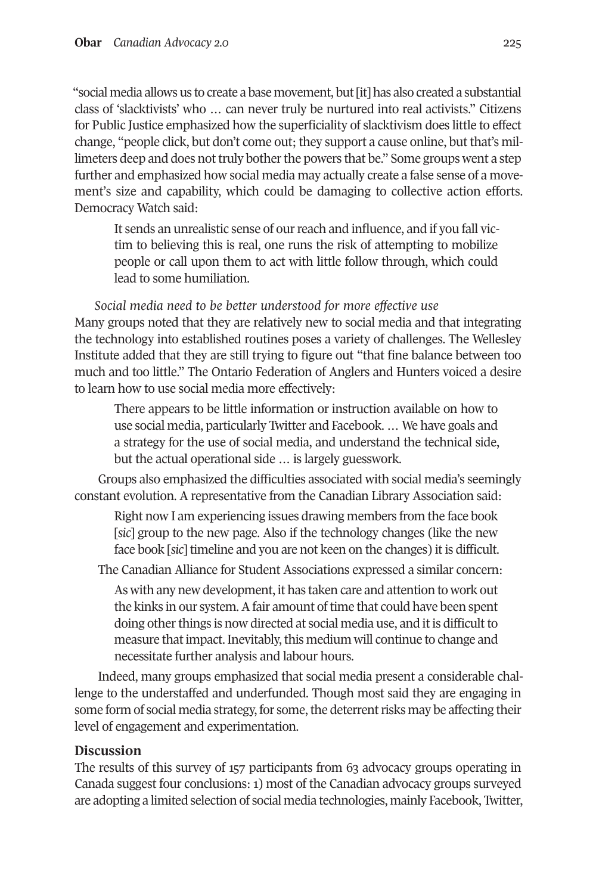"social media allows us to create a base movement, but[it] has also created a substantial class of 'slacktivists' who … can never truly be nurtured into real activists." Citizens for Public Justice emphasized how the superficiality of slacktivism does little to effect change, "people click, but don't come out; they support a cause online, but that's millimeters deep and does not truly bother the powers that be." Some groups went a step further and emphasized how social media may actually create a false sense of a movement's size and capability, which could be damaging to collective action efforts. Democracy Watch said:

It sends an unrealistic sense of our reach and influence, and if you fall victim to believing this is real, one runs the risk of attempting to mobilize people or call upon them to act with little follow through, which could lead to some humiliation.

*Social media need to be better understood for more effective use* Many groups noted that they are relatively new to social media and that integrating the technology into established routines poses a variety of challenges. The Wellesley Institute added that they are still trying to figure out "that fine balance between too much and too little." The Ontario Federation of Anglers and Hunters voiced a desire to learn how to use social media more effectively:

There appears to be little information or instruction available on how to use social media, particularly Twitter and Facebook. … We have goals and a strategy for the use of social media, and understand the technical side, but the actual operational side … is largely guesswork.

Groups also emphasized the difficulties associated with social media's seemingly constant evolution. A representative from the Canadian Library Association said:

Right now I am experiencing issues drawing members from the face book [*sic*] group to the new page. Also if the technology changes (like the new face book [*sic*] timeline and you are not keen on the changes) it is difficult.

The Canadian Alliance for Student Associations expressed a similar concern:

As with any new development, it has taken care and attention to work out the kinks in our system. A fair amount of time that could have been spent doing other things is now directed at social media use, and it is difficult to measure that impact. Inevitably, this medium will continue to change and necessitate further analysis and labour hours.

Indeed, many groups emphasized that social media present a considerable challenge to the understaffed and underfunded. Though most said they are engaging in some form of social media strategy, for some, the deterrent risks may be affecting their level of engagement and experimentation.

## **Discussion**

The results of this survey of 157 participants from 63 advocacy groups operating in Canada suggest four conclusions: 1) most of the Canadian advocacy groups surveyed are adopting a limited selection of social media technologies, mainly Facebook, Twitter,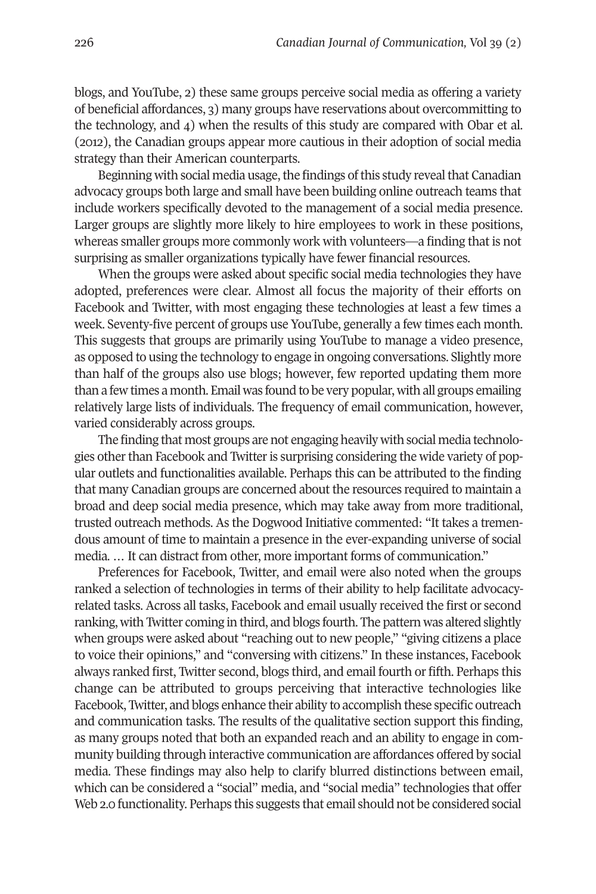blogs, and YouTube, 2) these same groups perceive social media as offering a variety of beneficial affordances, 3) many groups have reservations about overcommitting to the technology, and 4) when the results of this study are compared with Obar et al. (2012), the Canadian groups appear more cautious in their adoption of social media strategy than their American counterparts.

Beginning with social media usage, the findings of this study reveal that Canadian advocacy groups both large and small have been building online outreach teams that include workers specifically devoted to the management of a social media presence. Larger groups are slightly more likely to hire employees to work in these positions, whereas smaller groups more commonly work with volunteers—a finding that is not surprising as smaller organizations typically have fewer financial resources.

When the groups were asked about specific social media technologies they have adopted, preferences were clear. Almost all focus the majority of their efforts on Facebook and Twitter, with most engaging these technologies at least a few times a week. Seventy-five percent of groups use YouTube, generally a few times each month. This suggests that groups are primarily using YouTube to manage a video presence, as opposed to using the technology to engage in ongoing conversations. Slightly more than half of the groups also use blogs; however, few reported updating them more than a few times a month. Email was found to be very popular, with all groups emailing relatively large lists of individuals. The frequency of email communication, however, varied considerably across groups.

The finding that most groups are not engaging heavily with social media technologies other than Facebook and Twitter is surprising considering the wide variety of popular outlets and functionalities available. Perhaps this can be attributed to the finding that many Canadian groups are concerned about the resources required to maintain a broad and deep social media presence, which may take away from more traditional, trusted outreach methods. As the Dogwood Initiative commented: "It takes a tremendous amount of time to maintain a presence in the ever-expanding universe of social media. … It can distract from other, more important forms of communication."

Preferences for Facebook, Twitter, and email were also noted when the groups ranked a selection of technologies in terms of their ability to help facilitate advocacyrelated tasks. Across all tasks, Facebook and email usually received the first or second ranking, with Twitter coming in third, and blogs fourth. The pattern was altered slightly when groups were asked about "reaching out to new people," "giving citizens a place to voice their opinions," and "conversing with citizens." In these instances, Facebook always ranked first, Twitter second, blogs third, and email fourth or fifth. Perhaps this change can be attributed to groups perceiving that interactive technologies like Facebook, Twitter, and blogs enhance their ability to accomplish these specific outreach and communication tasks. The results of the qualitative section support this finding, as many groups noted that both an expanded reach and an ability to engage in community building through interactive communication are affordances offered by social media. These findings may also help to clarify blurred distinctions between email, which can be considered a "social" media, and "social media" technologies that offer Web 2.0 functionality. Perhaps this suggests that email should not be considered social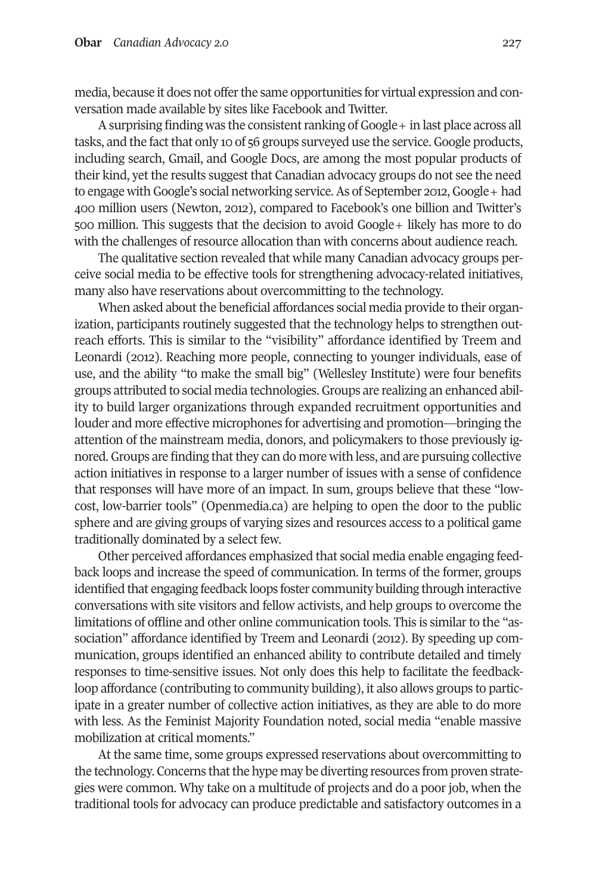media, because it does not offerthe same opportunities for virtual expression and conversation made available by sites like Facebook and Twitter.

A surprising finding was the consistent ranking of Google + in last place across all tasks, and the fact that only 10 of 56 groups surveyed use the service. Google products, including search, Gmail, and Google Docs, are among the most popular products of their kind, yet the results suggest that Canadian advocacy groups do not see the need to engage with Google's social networking service. As of September 2012, Google+ had 400 million users (Newton, 2012), compared to Facebook's one billion and Twitter's 500 million. This suggests that the decision to avoid Google+ likely has more to do with the challenges of resource allocation than with concerns about audience reach.

The qualitative section revealed that while many Canadian advocacy groups perceive social media to be effective tools for strengthening advocacy-related initiatives, many also have reservations about overcommitting to the technology.

When asked about the beneficial affordances social media provide to their organization, participants routinely suggested that the technology helps to strengthen outreach efforts. This is similar to the "visibility" affordance identified by Treem and Leonardi (2012). Reaching more people, connecting to younger individuals, ease of use, and the ability "to make the small big" (Wellesley Institute) were four benefits groups attributed to social media technologies. Groups are realizing an enhanced ability to build larger organizations through expanded recruitment opportunities and louder and more effective microphones for advertising and promotion—bringing the attention of the mainstream media, donors, and policymakers to those previously ignored. Groups are finding that they can do more with less, and are pursuing collective action initiatives in response to a larger number of issues with a sense of confidence that responses will have more of an impact. In sum, groups believe that these "lowcost, low-barrier tools" [\(Openmedia.ca\)](http://Openmedia.ca) are helping to open the door to the public sphere and are giving groups of varying sizes and resources access to a political game traditionally dominated by a select few.

Other perceived affordances emphasized that social media enable engaging feedback loops and increase the speed of communication. In terms of the former, groups identified that engaging feedback loops foster community building through interactive conversations with site visitors and fellow activists, and help groups to overcome the limitations of offline and other online communication tools. This is similar to the "association" affordance identified by Treem and Leonardi (2012). By speeding up communication, groups identified an enhanced ability to contribute detailed and timely responses to time-sensitive issues. Not only does this help to facilitate the feedbackloop affordance (contributing to community building), it also allows groups to participate in a greater number of collective action initiatives, as they are able to do more with less. As the Feminist Majority Foundation noted, social media "enable massive mobilization at critical moments."

At the same time, some groups expressed reservations about overcommitting to the technology. Concerns that the hype may be diverting resources from proven strategies were common. Why take on a multitude of projects and do a poor job, when the traditional tools for advocacy can produce predictable and satisfactory outcomes in a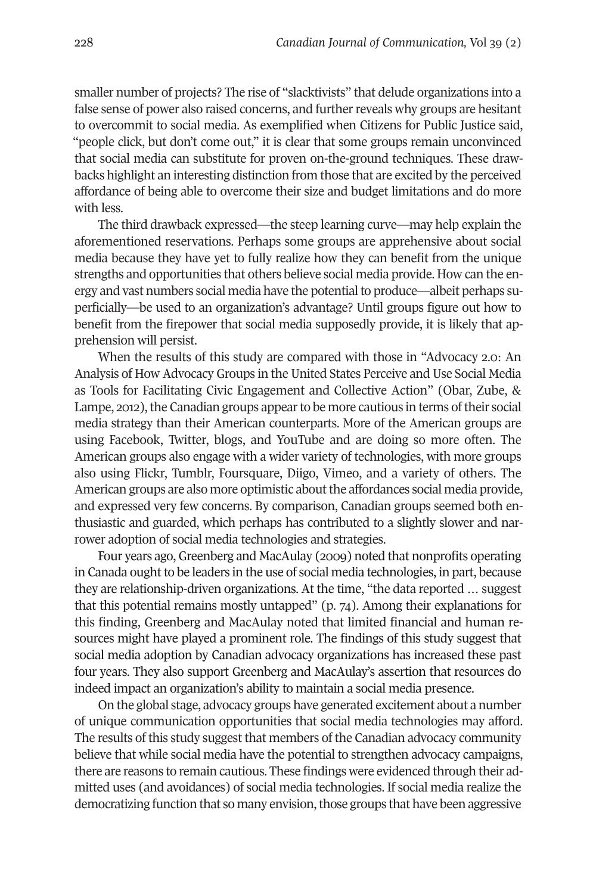smaller number of projects? The rise of "slacktivists" that delude organizations into a false sense of power also raised concerns, and further reveals why groups are hesitant to overcommit to social media. As exemplified when Citizens for Public Justice said, "people click, but don't come out," it is clear that some groups remain unconvinced that social media can substitute for proven on-the-ground techniques. These drawbacks highlight an interesting distinction from those that are excited by the perceived affordance of being able to overcome their size and budget limitations and do more with less.

The third drawback expressed—the steep learning curve—may help explain the aforementioned reservations. Perhaps some groups are apprehensive about social media because they have yet to fully realize how they can benefit from the unique strengths and opportunities that others believe social media provide. How can the energy and vast numbers social media have the potentialto produce—albeit perhaps superficially—be used to an organization's advantage? Until groups figure out how to benefit from the firepower that social media supposedly provide, it is likely that apprehension will persist.

When the results of this study are compared with those in "Advocacy 2.0: An Analysis of How Advocacy Groups in the United States Perceive and Use Social Media as Tools for Facilitating Civic Engagement and Collective Action" (Obar, Zube, & Lampe, 2012), the Canadian groups appear to be more cautious in terms of their social media strategy than their American counterparts. More of the American groups are using Facebook, Twitter, blogs, and YouTube and are doing so more often. The American groups also engage with a wider variety of technologies, with more groups also using Flickr, Tumblr, Foursquare, Diigo, Vimeo, and a variety of others. The American groups are also more optimistic about the affordances social media provide, and expressed very few concerns. By comparison, Canadian groups seemed both enthusiastic and guarded, which perhaps has contributed to a slightly slower and narrower adoption of social media technologies and strategies.

Four years ago, Greenberg and MacAulay (2009) noted that nonprofits operating in Canada ought to be leaders in the use of social media technologies, in part, because they are relationship-driven organizations. At the time, "the data reported … suggest that this potential remains mostly untapped" (p. 74). Among their explanations for this finding, Greenberg and MacAulay noted that limited financial and human resources might have played a prominent role. The findings of this study suggest that social media adoption by Canadian advocacy organizations has increased these past four years. They also support Greenberg and MacAulay's assertion that resources do indeed impact an organization's ability to maintain a social media presence.

On the global stage, advocacy groups have generated excitement about a number of unique communication opportunities that social media technologies may afford. The results of this study suggest that members of the Canadian advocacy community believe that while social media have the potential to strengthen advocacy campaigns, there are reasons to remain cautious. These findings were evidenced through their admitted uses (and avoidances) of social media technologies. If social media realize the democratizing function that so many envision, those groups that have been aggressive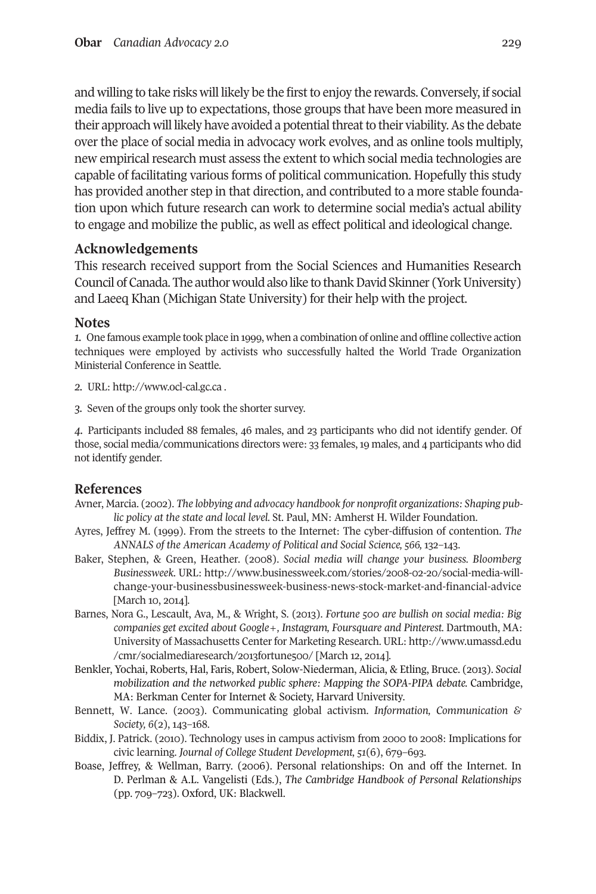and willing to take risks will likely be the first to enjoy the rewards. Conversely, if social media fails to live up to expectations, those groups that have been more measured in their approach will likely have avoided a potential threat to their viability. As the debate over the place of social media in advocacy work evolves, and as online tools multiply, new empirical research must assess the extent to which social media technologies are capable of facilitating various forms of political communication. Hopefully this study has provided another step in that direction, and contributed to a more stable foundation upon which future research can work to determine social media's actual ability to engage and mobilize the public, as well as effect political and ideological change.

## **Acknowledgements**

This research received support from the Social Sciences and Humanities Research Council of Canada. The author would also like to thank David Skinner (York University) and Laeeq Khan (Michigan State University) for their help with the project.

## **Notes**

<span id="page-18-0"></span>*1.* One famous example took place in 1999, when a combination of online and offline collective action techniques were employed by activists who successfully halted the World Trade Organization Ministerial Conference in Seattle.

- *2.* URL: <http://www.ocl-cal.gc.ca> .
- <span id="page-18-3"></span><span id="page-18-2"></span><span id="page-18-1"></span>*3.* Seven of the groups only took the shorter survey.

*4.* Participants included 88 females, 46 males, and 23 participants who did not identify gender. Of those, social media/communications directors were: 33 females, 19 males, and 4 participants who did not identify gender.

## **References**

- Avner, Marcia. (2002). *The lobbying and advocacy handbook for nonprofit organizations: Shaping public policy at the state and local level.* St. Paul, MN: Amherst H. Wilder Foundation.
- Ayres, Jeffrey M. (1999). From the streets to the Internet: The cyber-diffusion of contention. *The ANNALS of the American Academy of Political and Social Science, 566,* 132–143.
- Baker, Stephen, & Green, Heather. (2008). *Social media will change your business. Bloomberg Businessweek.* URL: [http://www.businessweek.com/stories/2008-02-20/social-media-will](http://www.businessweek.com/stories/2008-02-20/social-media-will-change-your-businessbusinessweek-business-news-stock-market-and-financial-advice)[change-your-businessbusinessweek-business-news-stock-market-and-financial-advice](http://www.businessweek.com/stories/2008-02-20/social-media-will-change-your-businessbusinessweek-business-news-stock-market-and-financial-advice) [March 10, 2014].
- Barnes, Nora G., Lescault, Ava, M., & Wright, S. (2013). *Fortune 500 are bullish on social media: Big companies get excited about Google+, Instagram, Foursquare and Pinterest.* Dartmouth, MA: University of Massachusetts Centerfor Marketing Research. URL: [http://www.umassd.edu](http://www.umassd.edu/cmr/socialmediaresearch/2013fortune500) [/cmr/socialmediaresearch/2013fortune500/](http://www.umassd.edu/cmr/socialmediaresearch/2013fortune500) [March 12, 2014].
- Benkler, Yochai, Roberts, Hal, Faris, Robert, Solow-Niederman, Alicia, & Etling, Bruce. (2013). *Social mobilization and the networked public sphere: Mapping the SOPA-PIPA debate.* Cambridge, MA: Berkman Center for Internet & Society, Harvard University.
- Bennett, W. Lance. (2003). Communicating global activism. *Information, Communication & Society, 6*(2), 143–168.
- Biddix, J. Patrick. (2010). Technology uses in campus activism from 2000 to 2008: Implications for civic learning. *Journal of College Student Development, 51*(6), 679–693.
- Boase, Jeffrey, & Wellman, Barry. (2006). Personal relationships: On and off the Internet. In D. Perlman & A.L. Vangelisti (Eds.), *The Cambridge Handbook of Personal Relationships* (pp. 709–723). Oxford, UK: Blackwell.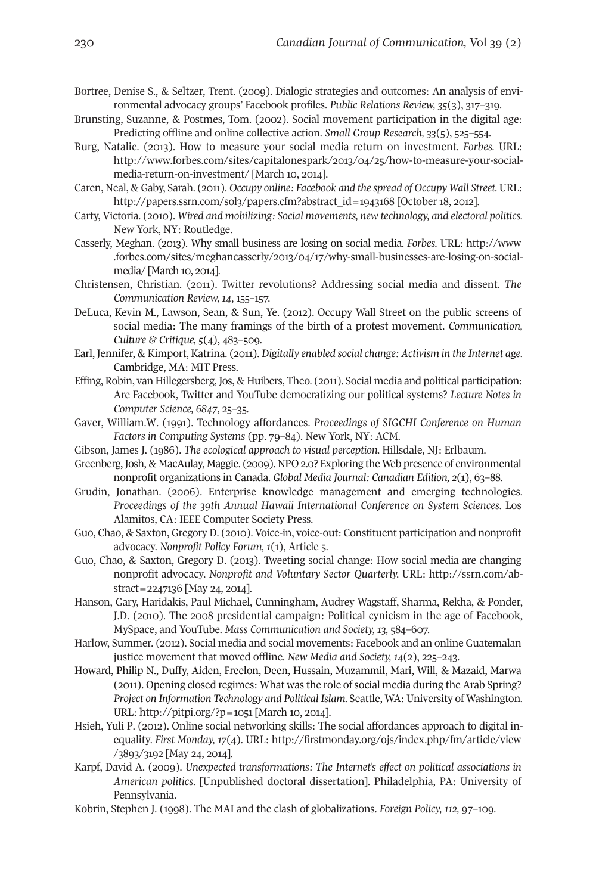- Bortree, Denise S., & Seltzer, Trent. (2009). Dialogic strategies and outcomes: An analysis of environmental advocacy groups' Facebook profiles. *Public Relations Review, 35*(3), 317–319.
- Brunsting, Suzanne, & Postmes, Tom. (2002). Social movement participation in the digital age: Predicting offline and online collective action. *Small Group Research, 33*(5), 525–554.
- Burg, Natalie. (2013). How to measure your social media return on investment. *Forbes.* URL: [http://www.forbes.com/sites/capitalonespark/2013/04/25/how-to-measure-your-social](http://www.forbes.com/sites/capitalonespark/2013/04/25/how-to-measure-your-social-media-return-on-investment/)[media-return-on-investment/](http://www.forbes.com/sites/capitalonespark/2013/04/25/how-to-measure-your-social-media-return-on-investment/) [March 10, 2014].
- Caren, Neal, & Gaby, Sarah. (2011). *Occupy online: Facebook and the spread of Occupy Wall Street.* URL: [http://papers.ssrn.com/sol3/papers.cfm?abstract\\_id=1943168](http://papers.ssrn.com/sol3/papers.cfm?abstract_id=1943168) [October 18, 2012].
- Carty, Victoria. (2010). *Wired and mobilizing: Social movements, new technology, and electoral politics.* New York, NY: Routledge.
- Casserly, Meghan. (2013). Why small business are losing on social media. *Forbes.* URL: [http://www](http://www.forbes.com/sites/meghancasserly/2013/04/17/why-small-businesses-are-losing-on-social-media) [.forbes.com/sites/meghancasserly/2013/04/17/why-small-businesses-are-losing-on-social](http://www.forbes.com/sites/meghancasserly/2013/04/17/why-small-businesses-are-losing-on-social-media)[media/](http://www.forbes.com/sites/meghancasserly/2013/04/17/why-small-businesses-are-losing-on-social-media) [March 10, 2014].
- Christensen, Christian. (2011). Twitter revolutions? Addressing social media and dissent. *The Communication Review, 14*, 155–157.
- DeLuca, Kevin M., Lawson, Sean, & Sun, Ye. (2012). Occupy Wall Street on the public screens of social media: The many framings of the birth of a protest movement. *Communication, Culture & Critique, 5*(4), 483–509.
- Earl, Jennifer, & Kimport, Katrina. (2011). *Digitally enabled social change: Activism in the Internet age*. Cambridge, MA: MIT Press.
- Effing, Robin, van Hillegersberg, Jos, & Huibers, Theo. (2011). Social media and political participation: Are Facebook, Twitter and YouTube democratizing our political systems? *Lecture Notes in Computer Science, 6847*, 25–35.
- Gaver, William.W. (1991). Technology affordances. *Proceedings of SIGCHI Conference on Human Factors in Computing Systems* (pp. 79–84). New York, NY: ACM.
- Gibson, James J. (1986). *The ecological approach to visual perception.* Hillsdale, NJ: Erlbaum.
- Greenberg, Josh, & MacAulay, Maggie. (2009). NPO 2.0? Exploring the Web presence of environmental nonprofit organizations in Canada. *Global Media Journal: Canadian Edition, 2*(1), 63–88.
- Grudin, Jonathan. (2006). Enterprise knowledge management and emerging technologies. *Proceedings of the 39th Annual Hawaii International Conference on System Sciences.* Los Alamitos, CA: IEEE Computer Society Press.
- Guo, Chao, & Saxton, Gregory D. (2010). Voice-in, voice-out: Constituent participation and nonprofit advocacy. *Nonprofit Policy Forum, 1*(1), Article 5.
- Guo, Chao, & Saxton, Gregory D. (2013). Tweeting social change: How social media are changing nonprofit advocacy. *Nonprofit and Voluntary Sector Quarterly.* URL: [http://ssrn.com/ab](http://ssrn.com/abstract=2247136)[stract=2247136](http://ssrn.com/abstract=2247136) [May 24, 2014].
- Hanson, Gary, Haridakis, Paul Michael, Cunningham, Audrey Wagstaff, Sharma, Rekha, & Ponder, J.D. (2010). The 2008 presidential campaign: Political cynicism in the age of Facebook, MySpace, and YouTube. *Mass Communication and Society, 13,* 584–607.
- Harlow, Summer. (2012). Social media and social movements: Facebook and an online Guatemalan justice movement that moved offline. *New Media and Society, 14*(2), 225–243.
- Howard, Philip N., Duffy, Aiden, Freelon, Deen, Hussain, Muzammil, Mari, Will, & Mazaid, Marwa (2011). Opening closed regimes: What was the role of social media during the Arab Spring? *Project on Information Technology and Political Islam.* Seattle, WA: University of Washington. URL: <http://pitpi.org/?p=1051> [March 10, 2014].
- Hsieh, Yuli P. (2012). Online social networking skills: The social affordances approach to digital inequality. *First Monday, 17*(4). URL: [http://firstmonday.org/ojs/index.php/fm/article/view](http://firstmonday.org/ojs/index.php/fm/article/view/3893/3192) [/3893/3192](http://firstmonday.org/ojs/index.php/fm/article/view/3893/3192) [May 24, 2014].
- Karpf, David A. (2009). *Unexpected transformations: The Internet's effect on political associations in American politics*. [Unpublished doctoral dissertation]. Philadelphia, PA: University of Pennsylvania.
- Kobrin, Stephen J. (1998). The MAI and the clash of globalizations. *Foreign Policy, 112,* 97–109.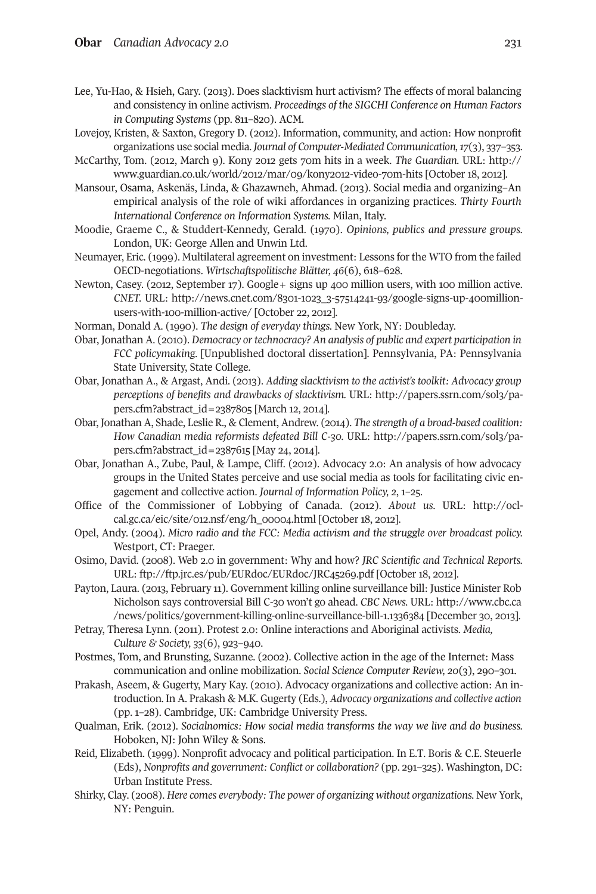- Lee, Yu-Hao, & Hsieh, Gary. (2013). Does slacktivism hurt activism? The effects of moral balancing and consistency in online activism. *Proceedings of the SIGCHI Conference on Human Factors in Computing Systems* (pp. 811–820). ACM.
- Lovejoy, Kristen, & Saxton, Gregory D. (2012). Information, community, and action: How nonprofit organizations use social media. *Journal of Computer-Mediated Communication,17*(3), 337–353.
- McCarthy, Tom. (2012, March 9). Kony 2012 gets 70m hits in a week. *The Guardian.* URL: [http://](http://www.guardian.co.uk/world/2012/mar/09/kony2012-video-70m-hits) [www.guardian.co.uk/world/2012/mar/09/kony2012-video-70m-hits](http://www.guardian.co.uk/world/2012/mar/09/kony2012-video-70m-hits) [October 18, 2012].
- Mansour, Osama, Askenäs, Linda, & Ghazawneh, Ahmad. (2013). Social media and organizing–An empirical analysis of the role of wiki affordances in organizing practices. *Thirty Fourth International Conference on Information Systems.* Milan, Italy.
- Moodie, Graeme C., & Studdert-Kennedy, Gerald. (1970). *Opinions, publics and pressure groups.* London, UK: George Allen and Unwin Ltd.
- Neumayer, Eric. (1999). Multilateral agreement on investment: Lessons forthe WTO from the failed OECD-negotiations. *Wirtschaftspolitische Blätter, 46*(6), 618–628.
- Newton, Casey. (2012, September 17). Google+ signs up 400 million users, with 100 million active. *CNET.* URL: [http://news.cnet.com/8301-1023\\_3-57514241-93/google-signs-up-400million](http://news.cnet.com/8301-1023_3-57514241-93/google-signs-up-400million-users-with-100-million-active/)[users-with-100-million-active/](http://news.cnet.com/8301-1023_3-57514241-93/google-signs-up-400million-users-with-100-million-active/) [October 22, 2012].
- Norman, Donald A. (1990). *The design of everyday things.* New York, NY: Doubleday.
- Obar, Jonathan A. (2010). *Democracy ortechnocracy? An analysis of public and expert participation in FCC policymaking.* [Unpublished doctoral dissertation]. Pennsylvania, PA: Pennsylvania State University, State College.
- Obar, Jonathan A., & Argast, Andi. (2013). *Adding slacktivism to the activist's toolkit: Advocacy group perceptions of benefits and drawbacks of slacktivism.* URL: [http://papers.ssrn.com/sol3/pa](http://papers.ssrn.com/sol3/papers.cfm?abstract_id=2387805)[pers.cfm?abstract\\_id=2387805](http://papers.ssrn.com/sol3/papers.cfm?abstract_id=2387805) [March 12, 2014].
- Obar, Jonathan A, Shade, Leslie R., & Clement, Andrew. (2014). *The strength of a broad-based coalition: How Canadian media reformists defeated Bill C-30.* URL: [http://papers.ssrn.com/sol3/pa](http://papers.ssrn.com/sol3/papers.cfm?abstract_id=2387615)[pers.cfm?abstract\\_id=2387615](http://papers.ssrn.com/sol3/papers.cfm?abstract_id=2387615) [May 24, 2014].
- Obar, Jonathan A., Zube, Paul, & Lampe, Cliff. (2012). Advocacy 2.0: An analysis of how advocacy groups in the United States perceive and use social media as tools for facilitating civic engagement and collective action. *Journal of Information Policy, 2*, 1–25.
- Office of the Commissioner of Lobbying of Canada. (2012). *About us.* URL: [http://ocl](http://ocl-cal.gc.ca/eic/site/012.nsf/eng/h_00004.html)[cal.gc.ca/eic/site/012.nsf/eng/h\\_00004.html](http://ocl-cal.gc.ca/eic/site/012.nsf/eng/h_00004.html) [October 18, 2012].
- Opel, Andy. (2004). *Micro radio and the FCC: Media activism and the struggle over broadcast policy.* Westport, CT: Praeger.
- Osimo, David. (2008). Web 2.0 in government: Why and how? *JRC Scientific and Technical Reports.* URL: <ftp://ftp.jrc.es/pub/EURdoc/EURdoc/JRC45269.pdf> [October 18, 2012].
- Payton, Laura. (2013, February 11). Government killing online surveillance bill: Justice Minister Rob Nicholson says controversial Bill C-30 won't go ahead. *CBC News.* URL: [http://www.cbc.ca](http://www.cbc.ca/news/politics/government-killing-online-surveillance-bill-1.1336384 ) [/news/politics/government-killing-online-surveillance-bill-1.1336384](http://www.cbc.ca/news/politics/government-killing-online-surveillance-bill-1.1336384 ) [December 30, 2013].
- Petray, Theresa Lynn. (2011). Protest 2.0: Online interactions and Aboriginal activists. *Media, Culture & Society, 33*(6), 923–940.
- Postmes, Tom, and Brunsting, Suzanne. (2002). Collective action in the age of the Internet: Mass communication and online mobilization. *Social Science Computer Review, 20*(3), 290–301.
- Prakash, Aseem, & Gugerty, Mary Kay. (2010). Advocacy organizations and collective action: An introduction. In A. Prakash & M.K. Gugerty (Eds.), *Advocacy organizations and collective action* (pp. 1–28). Cambridge, UK: Cambridge University Press.
- Qualman, Erik. (2012). *Socialnomics: How social media transforms the way we live and do business.* Hoboken, NJ: John Wiley & Sons.
- Reid, Elizabeth. (1999). Nonprofit advocacy and political participation. In E.T. Boris & C.E. Steuerle (Eds), *Nonprofits and government: Conflict or collaboration?* (pp. 291–325). Washington, DC: Urban Institute Press.
- Shirky, Clay. (2008). *Here comes everybody: The power of organizing without organizations.* New York, NY: Penguin.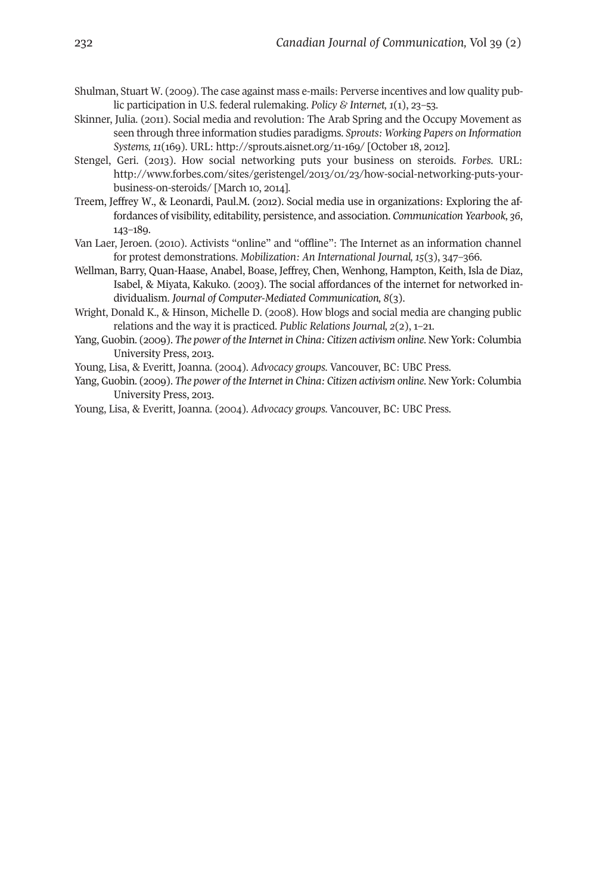- Shulman, Stuart W. (2009). The case against mass e-mails: Perverse incentives and low quality public participation in U.S. federal rulemaking. *Policy & Internet, 1*(1), 23–53.
- Skinner, Julia. (2011). Social media and revolution: The Arab Spring and the Occupy Movement as seen through three information studies paradigms. *Sprouts: Working Papers on Information Systems, 11*(169). URL: <http://sprouts.aisnet.org/11-169/> [October 18, 2012].
- Stengel, Geri. (2013). How social networking puts your business on steroids. *Forbes.* URL: [http://www.forbes.com/sites/geristengel/2013/01/23/how-social-networking-puts-your](http://www.forbes.com/sites/geristengel/2013/01/23/how-social-networking-puts-your-business-on-steroids/)[business-on-steroids/](http://www.forbes.com/sites/geristengel/2013/01/23/how-social-networking-puts-your-business-on-steroids/) [March 10, 2014].
- Treem, Jeffrey W., & Leonardi, Paul.M. (2012). Social media use in organizations: Exploring the affordances of visibility, editability, persistence, and association. *Communication Yearbook, 36*, 143–189.
- Van Laer, Jeroen. (2010). Activists "online" and "offline": The Internet as an information channel for protest demonstrations. *Mobilization: An International Journal, 15*(3), 347–366.
- Wellman, Barry, Quan-Haase, Anabel, Boase, Jeffrey, Chen, Wenhong, Hampton, Keith, Isla de Diaz, Isabel, & Miyata, Kakuko. (2003). The social affordances of the internet for networked individualism. *Journal of Computer-Mediated Communication, 8*(3).
- Wright, Donald K., & Hinson, Michelle D. (2008). How blogs and social media are changing public relations and the way it is practiced. *Public Relations Journal, 2*(2), 1–21.
- Yang, Guobin. (2009). *The power of the Internet in China: Citizen activism online*. New York: Columbia University Press, 2013.

Young, Lisa, & Everitt, Joanna. (2004). *Advocacy groups.* Vancouver, BC: UBC Press.

Yang, Guobin. (2009). *The power of the Internet in China: Citizen activism online*. New York: Columbia University Press, 2013.

Young, Lisa, & Everitt, Joanna. (2004). *Advocacy groups.* Vancouver, BC: UBC Press.